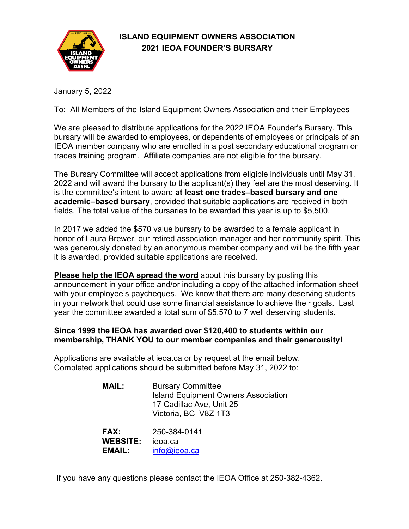

# **ISLAND EQUIPMENT OWNERS ASSOCIATION 2021 IEOA FOUNDER'S BURSARY**

January 5, 2022

To: All Members of the Island Equipment Owners Association and their Employees

We are pleased to distribute applications for the 2022 IEOA Founder's Bursary. This bursary will be awarded to employees, or dependents of employees or principals of an IEOA member company who are enrolled in a post secondary educational program or trades training program. Affiliate companies are not eligible for the bursary.

The Bursary Committee will accept applications from eligible individuals until May 31, 2022 and will award the bursary to the applicant(s) they feel are the most deserving. It is the committee's intent to award **at least one trades–based bursary and one academic–based bursary**, provided that suitable applications are received in both fields. The total value of the bursaries to be awarded this year is up to \$5,500.

In 2017 we added the \$570 value bursary to be awarded to a female applicant in honor of Laura Brewer, our retired association manager and her community spirit. This was generously donated by an anonymous member company and will be the fifth year it is awarded, provided suitable applications are received.

**Please help the IEOA spread the word** about this bursary by posting this announcement in your office and/or including a copy of the attached information sheet with your employee's paycheques. We know that there are many deserving students in your network that could use some financial assistance to achieve their goals. Last year the committee awarded a total sum of \$5,570 to 7 well deserving students.

## **Since 1999 the IEOA has awarded over \$120,400 to students within our membership, THANK YOU to our member companies and their generousity!**

Applications are available at ieoa.ca or by request at the email below. Completed applications should be submitted before May 31, 2022 to:

| <b>MAIL:</b> | <b>Bursary Committee</b>                   |
|--------------|--------------------------------------------|
|              | <b>Island Equipment Owners Association</b> |
|              | 17 Cadillac Ave, Unit 25                   |
|              | Victoria, BC V8Z 1T3                       |
|              |                                            |

**FAX:** 250-384-0141 **WEBSITE:** ieoa.ca **EMAIL:** [info@ieoa.ca](mailto:ieoa@shaw.ca)

If you have any questions please contact the IEOA Office at 250-382-4362.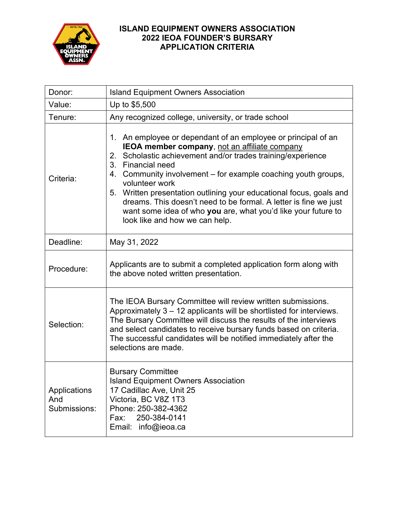

## **ISLAND EQUIPMENT OWNERS ASSOCIATION 2022 IEOA FOUNDER'S BURSARY APPLICATION CRITERIA**

| Donor:                              | <b>Island Equipment Owners Association</b>                                                                                                                                                                                                                                                                                                                                                                                                                                                                                                   |  |
|-------------------------------------|----------------------------------------------------------------------------------------------------------------------------------------------------------------------------------------------------------------------------------------------------------------------------------------------------------------------------------------------------------------------------------------------------------------------------------------------------------------------------------------------------------------------------------------------|--|
| Value:                              | Up to \$5,500                                                                                                                                                                                                                                                                                                                                                                                                                                                                                                                                |  |
| Tenure:                             | Any recognized college, university, or trade school                                                                                                                                                                                                                                                                                                                                                                                                                                                                                          |  |
| Criteria:                           | 1. An employee or dependant of an employee or principal of an<br>IEOA member company, not an affiliate company<br>Scholastic achievement and/or trades training/experience<br>2.<br>3. Financial need<br>Community involvement – for example coaching youth groups,<br>4.<br>volunteer work<br>Written presentation outlining your educational focus, goals and<br>5.<br>dreams. This doesn't need to be formal. A letter is fine we just<br>want some idea of who you are, what you'd like your future to<br>look like and how we can help. |  |
| Deadline:                           | May 31, 2022                                                                                                                                                                                                                                                                                                                                                                                                                                                                                                                                 |  |
| Procedure:                          | Applicants are to submit a completed application form along with<br>the above noted written presentation.                                                                                                                                                                                                                                                                                                                                                                                                                                    |  |
| Selection:                          | The IEOA Bursary Committee will review written submissions.<br>Approximately 3 - 12 applicants will be shortlisted for interviews.<br>The Bursary Committee will discuss the results of the interviews<br>and select candidates to receive bursary funds based on criteria.<br>The successful candidates will be notified immediately after the<br>selections are made.                                                                                                                                                                      |  |
| Applications<br>And<br>Submissions: | <b>Bursary Committee</b><br><b>Island Equipment Owners Association</b><br>17 Cadillac Ave, Unit 25<br>Victoria, BC V8Z 1T3<br>Phone: 250-382-4362<br>250-384-0141<br>Fax:<br>Email:<br>info@ieoa.ca                                                                                                                                                                                                                                                                                                                                          |  |